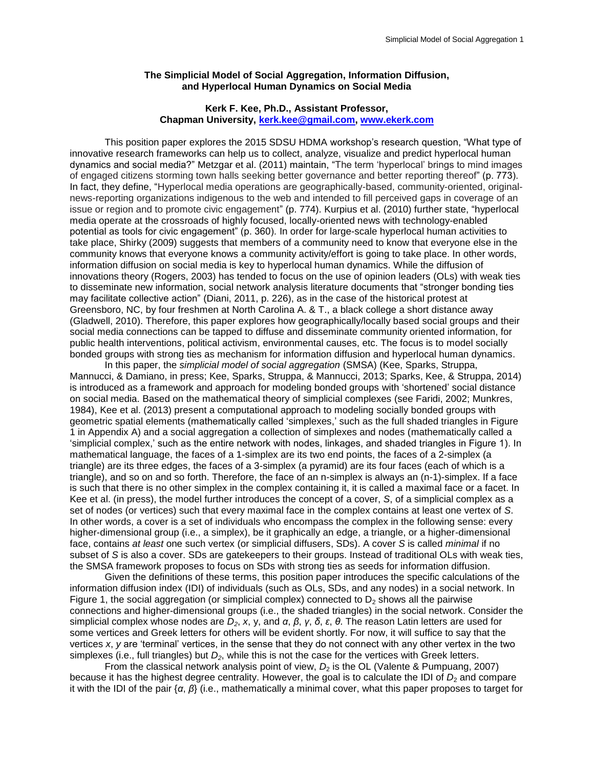## **The Simplicial Model of Social Aggregation, Information Diffusion, and Hyperlocal Human Dynamics on Social Media**

## **Kerk F. Kee, Ph.D., Assistant Professor, Chapman University, [kerk.kee@gmail.com,](mailto:kerk.kee@gmail.com) [www.ekerk.com](http://www.ekerk.com/)**

This position paper explores the 2015 SDSU HDMA workshop's research question, "What type of innovative research frameworks can help us to collect, analyze, visualize and predict hyperlocal human dynamics and social media?" Metzgar et al. [\(2011\)](#page-2-0) maintain, "The term 'hyperlocal' brings to mind images of engaged citizens storming town halls seeking better governance and better reporting thereof" (p. 773). In fact, they define, "Hyperlocal media operations are geographically-based, community-oriented, originalnews-reporting organizations indigenous to the web and intended to fill perceived gaps in coverage of an issue or region and to promote civic engagement" (p. 774). Kurpius et al. [\(2010\)](#page-2-1) further state, "hyperlocal media operate at the crossroads of highly focused, locally-oriented news with technology-enabled potential as tools for civic engagement" (p. 360). In order for large-scale hyperlocal human activities to take place, Shirky [\(2009\)](#page-2-2) suggests that members of a community need to know that everyone else in the community knows that everyone knows a community activity/effort is going to take place. In other words, information diffusion on social media is key to hyperlocal human dynamics. While the diffusion of innovations theory [\(Rogers, 2003\)](#page-2-3) has tended to focus on the use of opinion leaders (OLs) with weak ties to disseminate new information, social network analysis literature documents that "stronger bonding ties may facilitate collective action" [\(Diani, 2011, p. 226\)](#page-2-4), as in the case of the historical protest at Greensboro, NC, by four freshmen at North Carolina A. & T., a black college a short distance away [\(Gladwell, 2010\)](#page-2-5). Therefore, this paper explores how geographically/locally based social groups and their social media connections can be tapped to diffuse and disseminate community oriented information, for public health interventions, political activism, environmental causes, etc. The focus is to model socially bonded groups with strong ties as mechanism for information diffusion and hyperlocal human dynamics.

In this paper, the *simplicial model of social aggregation* (SMSA) [\(Kee, Sparks, Struppa,](#page-2-6)  [Mannucci, & Damiano, in press;](#page-2-6) [Kee, Sparks, Struppa, & Mannucci, 2013;](#page-2-7) [Sparks, Kee, & Struppa, 2014\)](#page-2-8) is introduced as a framework and approach for modeling bonded groups with 'shortened' social distance on social media. Based on the mathematical theory of simplicial complexes (see [Faridi, 2002;](#page-2-9) [Munkres,](#page-2-10)  [1984\)](#page-2-10), Kee et al. [\(2013\)](#page-2-7) present a computational approach to modeling socially bonded groups with geometric spatial elements (mathematically called 'simplexes,' such as the full shaded triangles in Figure 1 in Appendix A) and a social aggregation a collection of simplexes and nodes (mathematically called a 'simplicial complex,' such as the entire network with nodes, linkages, and shaded triangles in Figure 1). In mathematical language, the faces of a 1-simplex are its two end points, the faces of a 2-simplex (a triangle) are its three edges, the faces of a 3-simplex (a pyramid) are its four faces (each of which is a triangle), and so on and so forth. Therefore, the face of an n-simplex is always an (n-1)-simplex. If a face is such that there is no other simplex in the complex containing it, it is called a maximal face or a facet. In Kee et al. [\(in press\)](#page-2-6), the model further introduces the concept of a cover, *S*, of a simplicial complex as a set of nodes (or vertices) such that every maximal face in the complex contains at least one vertex of *S*. In other words, a cover is a set of individuals who encompass the complex in the following sense: every higher-dimensional group (i.e., a simplex), be it graphically an edge, a triangle, or a higher-dimensional face, contains *at least* one such vertex (or simplicial diffusers, SDs). A cover *S* is called *minimal* if no subset of *S* is also a cover. SDs are gatekeepers to their groups. Instead of traditional OLs with weak ties, the SMSA framework proposes to focus on SDs with strong ties as seeds for information diffusion.

Given the definitions of these terms, this position paper introduces the specific calculations of the information diffusion index (IDI) of individuals (such as OLs, SDs, and any nodes) in a social network. In Figure 1, the social aggregation (or simplicial complex) connected to  $D<sub>2</sub>$  shows all the pairwise connections and higher-dimensional groups (i.e., the shaded triangles) in the social network. Consider the simplicial complex whose nodes are *D2*, *x*, y, and *α*, *β*, *γ*, *δ*, *ε*, *θ*. The reason Latin letters are used for some vertices and Greek letters for others will be evident shortly. For now, it will suffice to say that the vertices *x*, *y* are 'terminal' vertices, in the sense that they do not connect with any other vertex in the two simplexes (i.e., full triangles) but *D2*, while this is not the case for the vertices with Greek letters.

From the classical network analysis point of view,  $D_2$  is the OL [\(Valente & Pumpuang, 2007\)](#page-2-11) because it has the highest degree centrality. However, the goal is to calculate the IDI of  $D_2$  and compare it with the IDI of the pair {*α*, *β*} (i.e., mathematically a minimal cover, what this paper proposes to target for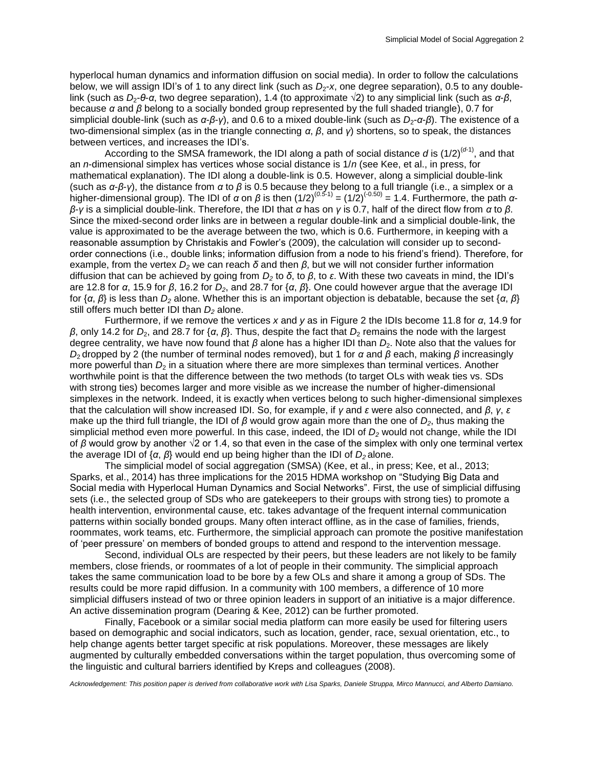hyperlocal human dynamics and information diffusion on social media). In order to follow the calculations below, we will assign IDI's of 1 to any direct link (such as  $D_2$ -x, one degree separation), 0.5 to any doublelink (such as *D*2-*θ*-*α*, two degree separation), 1.4 (to approximate √2) to any simplicial link (such as *α*-*β*, because *α* and *β* belong to a socially bonded group represented by the full shaded triangle), 0.7 for simplicial double-link (such as *α*-*β*-*γ*), and 0.6 to a mixed double-link (such as *D*2-*α*-*β*). The existence of a two-dimensional simplex (as in the triangle connecting *α*, *β*, and *γ*) shortens, so to speak, the distances between vertices, and increases the IDI's.

According to the SMSA framework, the IDI along a path of social distance  $d$  is  $(1/2)^{(d-1)}$ , and that an *n*-dimensional simplex has vertices whose social distance is 1/*n* [\(see Kee, et al., in press, for](#page-2-6)  [mathematical explanation\)](#page-2-6). The IDI along a double-link is 0.5. However, along a simplicial double-link (such as *α*-*β*-*γ*), the distance from *α* to *β* is 0.5 because they belong to a full triangle (i.e., a simplex or a higher-dimensional group). The IDI of *α* on *β* is then (1/2)(*0.5*-1) = (1/2)(-0.50) = 1.4. Furthermore, the path *αβ*-*γ* is a simplicial double-link. Therefore, the IDI that *α* has on *γ* is 0.7, half of the direct flow from *α* to *β*. Since the mixed-second order links are in between a regular double-link and a simplicial double-link, the value is approximated to be the average between the two, which is 0.6. Furthermore, in keeping with a reasonable assumption by Christakis and Fowler's [\(2009\)](#page-2-12), the calculation will consider up to secondorder connections (i.e., double links; information diffusion from a node to his friend's friend). Therefore, for example, from the vertex  $D_2$  we can reach  $\delta$  and then  $\beta$ , but we will not consider further information diffusion that can be achieved by going from *D<sup>2</sup>* to *δ*, to *β*, to *ε*. With these two caveats in mind, the IDI's are 12.8 for *α*, 15.9 for *β*, 16.2 for *D2*, and 28.7 for {*α*, *β*}. One could however argue that the average IDI for {*α*, *β*} is less than *D<sup>2</sup>* alone. Whether this is an important objection is debatable, because the set {*α*, *β*} still offers much better IDI than *D<sup>2</sup>* alone.

Furthermore, if we remove the vertices *x* and *y* as in Figure 2 the IDIs become 11.8 for *α*, 14.9 for *β*, only 14.2 for *D*2, and 28.7 for {*α*, *β*}. Thus, despite the fact that *D*<sup>2</sup> remains the node with the largest degree centrality, we have now found that *β* alone has a higher IDI than *D*<sub>2</sub>. Note also that the values for *D*2 dropped by 2 (the number of terminal nodes removed), but 1 for *α* and *β* each, making *β* increasingly more powerful than  $D_2$  in a situation where there are more simplexes than terminal vertices. Another worthwhile point is that the difference between the two methods (to target OLs with weak ties vs. SDs with strong ties) becomes larger and more visible as we increase the number of higher-dimensional simplexes in the network. Indeed, it is exactly when vertices belong to such higher-dimensional simplexes that the calculation will show increased IDI. So, for example, if *γ* and *ε* were also connected, and *β*, *γ*, *ε* make up the third full triangle, the IDI of *β* would grow again more than the one of *D2*, thus making the simplicial method even more powerful. In this case, indeed, the IDI of *D<sup>2</sup>* would not change, while the IDI of *β* would grow by another √2 or 1.4, so that even in the case of the simplex with only one terminal vertex the average IDI of {*α*, *β*} would end up being higher than the IDI of *D<sup>2</sup>* alone.

The simplicial model of social aggregation (SMSA) [\(Kee, et al., in press;](#page-2-6) [Kee, et al., 2013;](#page-2-7) [Sparks, et al., 2014\)](#page-2-8) has three implications for the 2015 HDMA workshop on "Studying Big Data and Social media with Hyperlocal Human Dynamics and Social Networks". First, the use of simplicial diffusing sets (i.e., the selected group of SDs who are gatekeepers to their groups with strong ties) to promote a health intervention, environmental cause, etc. takes advantage of the frequent internal communication patterns within socially bonded groups. Many often interact offline, as in the case of families, friends, roommates, work teams, etc. Furthermore, the simplicial approach can promote the positive manifestation of 'peer pressure' on members of bonded groups to attend and respond to the intervention message.

Second, individual OLs are respected by their peers, but these leaders are not likely to be family members, close friends, or roommates of a lot of people in their community. The simplicial approach takes the same communication load to be bore by a few OLs and share it among a group of SDs. The results could be more rapid diffusion. In a community with 100 members, a difference of 10 more simplicial diffusers instead of two or three opinion leaders in support of an initiative is a major difference. An active dissemination program [\(Dearing & Kee, 2012\)](#page-2-13) can be further promoted.

Finally, Facebook or a similar social media platform can more easily be used for filtering users based on demographic and social indicators, such as location, gender, race, sexual orientation, etc., to help change agents better target specific at risk populations. Moreover, these messages are likely augmented by culturally embedded conversations within the target population, thus overcoming some of the linguistic and cultural barriers identified by Kreps and colleagues [\(2008\)](#page-2-14).

*Acknowledgement: This position paper is derived from collaborative work with Lisa Sparks, Daniele Struppa, Mirco Mannucci, and Alberto Damiano.*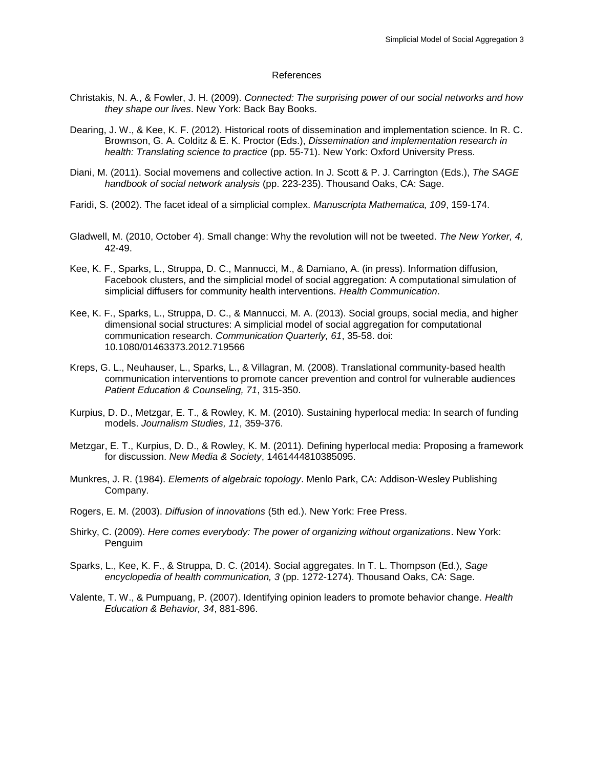## References

- <span id="page-2-12"></span>Christakis, N. A., & Fowler, J. H. (2009). *Connected: The surprising power of our social networks and how they shape our lives*. New York: Back Bay Books.
- <span id="page-2-13"></span>Dearing, J. W., & Kee, K. F. (2012). Historical roots of dissemination and implementation science. In R. C. Brownson, G. A. Colditz & E. K. Proctor (Eds.), *Dissemination and implementation research in health: Translating science to practice* (pp. 55-71). New York: Oxford University Press.
- <span id="page-2-4"></span>Diani, M. (2011). Social movemens and collective action. In J. Scott & P. J. Carrington (Eds.), *The SAGE handbook of social network analysis* (pp. 223-235). Thousand Oaks, CA: Sage.
- <span id="page-2-9"></span><span id="page-2-5"></span>Faridi, S. (2002). The facet ideal of a simplicial complex. *Manuscripta Mathematica, 109*, 159-174.
- Gladwell, M. (2010, October 4). Small change: Why the revolution will not be tweeted. *The New Yorker, 4,* 42-49.
- <span id="page-2-6"></span>Kee, K. F., Sparks, L., Struppa, D. C., Mannucci, M., & Damiano, A. (in press). Information diffusion, Facebook clusters, and the simplicial model of social aggregation: A computational simulation of simplicial diffusers for community health interventions. *Health Communication*.
- <span id="page-2-7"></span>Kee, K. F., Sparks, L., Struppa, D. C., & Mannucci, M. A. (2013). Social groups, social media, and higher dimensional social structures: A simplicial model of social aggregation for computational communication research. *Communication Quarterly, 61*, 35-58. doi: 10.1080/01463373.2012.719566
- <span id="page-2-14"></span>Kreps, G. L., Neuhauser, L., Sparks, L., & Villagran, M. (2008). Translational community-based health communication interventions to promote cancer prevention and control for vulnerable audiences *Patient Education & Counseling, 71*, 315-350.
- <span id="page-2-1"></span>Kurpius, D. D., Metzgar, E. T., & Rowley, K. M. (2010). Sustaining hyperlocal media: In search of funding models. *Journalism Studies, 11*, 359-376.
- <span id="page-2-0"></span>Metzgar, E. T., Kurpius, D. D., & Rowley, K. M. (2011). Defining hyperlocal media: Proposing a framework for discussion. *New Media & Society*, 1461444810385095.
- <span id="page-2-10"></span>Munkres, J. R. (1984). *Elements of algebraic topology*. Menlo Park, CA: Addison-Wesley Publishing Company.
- <span id="page-2-3"></span>Rogers, E. M. (2003). *Diffusion of innovations* (5th ed.). New York: Free Press.
- <span id="page-2-2"></span>Shirky, C. (2009). *Here comes everybody: The power of organizing without organizations*. New York: Penguim
- <span id="page-2-8"></span>Sparks, L., Kee, K. F., & Struppa, D. C. (2014). Social aggregates. In T. L. Thompson (Ed.), *Sage encyclopedia of health communication, 3* (pp. 1272-1274). Thousand Oaks, CA: Sage.
- <span id="page-2-11"></span>Valente, T. W., & Pumpuang, P. (2007). Identifying opinion leaders to promote behavior change. *Health Education & Behavior, 34*, 881-896.